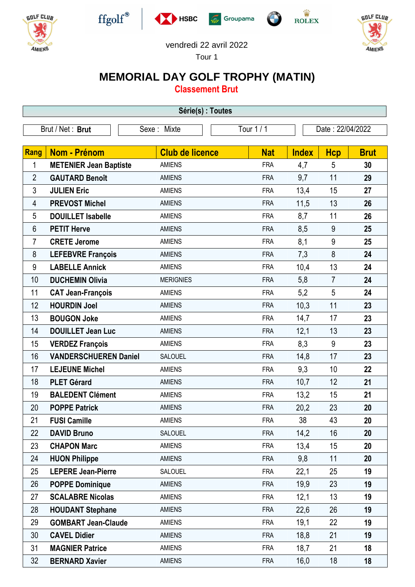











## vendredi 22 avril 2022

Tour 1

## **MEMORIAL DAY GOLF TROPHY (MATIN)**

**Classement Brut**

| Série(s) : Toutes |                               |                        |            |              |                  |             |  |
|-------------------|-------------------------------|------------------------|------------|--------------|------------------|-------------|--|
| Brut / Net: Brut  |                               | Sexe: Mixte            | Tour 1/1   |              | Date: 22/04/2022 |             |  |
|                   |                               |                        |            |              |                  |             |  |
| Rang              | Nom - Prénom                  | <b>Club de licence</b> | <b>Nat</b> | <b>Index</b> | <b>Hcp</b>       | <b>Brut</b> |  |
| 1                 | <b>METENIER Jean Baptiste</b> | <b>AMIENS</b>          | <b>FRA</b> | 4,7          | 5                | 30          |  |
| $\overline{2}$    | <b>GAUTARD Benoît</b>         | <b>AMIENS</b>          | <b>FRA</b> | 9,7          | 11               | 29          |  |
| 3                 | <b>JULIEN Eric</b>            | <b>AMIENS</b>          | <b>FRA</b> | 13,4         | 15               | 27          |  |
| 4                 | <b>PREVOST Michel</b>         | <b>AMIENS</b>          | <b>FRA</b> | 11,5         | 13               | 26          |  |
| 5                 | <b>DOUILLET Isabelle</b>      | <b>AMIENS</b>          | <b>FRA</b> | 8,7          | 11               | 26          |  |
| 6                 | <b>PETIT Herve</b>            | <b>AMIENS</b>          | <b>FRA</b> | 8,5          | 9                | 25          |  |
| 7                 | <b>CRETE Jerome</b>           | <b>AMIENS</b>          | <b>FRA</b> | 8,1          | 9                | 25          |  |
| 8                 | <b>LEFEBVRE François</b>      | <b>AMIENS</b>          | <b>FRA</b> | 7,3          | 8                | 24          |  |
| $\boldsymbol{9}$  | <b>LABELLE Annick</b>         | <b>AMIENS</b>          | <b>FRA</b> | 10,4         | 13               | 24          |  |
| 10                | <b>DUCHEMIN Olivia</b>        | <b>MERIGNIES</b>       | <b>FRA</b> | 5,8          | $\overline{7}$   | 24          |  |
| 11                | <b>CAT Jean-François</b>      | <b>AMIENS</b>          | <b>FRA</b> | 5,2          | 5                | 24          |  |
| 12                | <b>HOURDIN Joel</b>           | <b>AMIENS</b>          | <b>FRA</b> | 10,3         | 11               | 23          |  |
| 13                | <b>BOUGON Joke</b>            | <b>AMIENS</b>          | <b>FRA</b> | 14,7         | 17               | 23          |  |
| 14                | <b>DOUILLET Jean Luc</b>      | <b>AMIENS</b>          | <b>FRA</b> | 12,1         | 13               | 23          |  |
| 15                | <b>VERDEZ François</b>        | <b>AMIENS</b>          | <b>FRA</b> | 8,3          | 9                | 23          |  |
| 16                | <b>VANDERSCHUEREN Daniel</b>  | <b>SALOUEL</b>         | <b>FRA</b> | 14,8         | 17               | 23          |  |
| 17                | <b>LEJEUNE Michel</b>         | <b>AMIENS</b>          | <b>FRA</b> | 9,3          | 10               | 22          |  |
| 18                | <b>PLET Gérard</b>            | <b>AMIENS</b>          | <b>FRA</b> | 10,7         | 12               | 21          |  |
| 19                | <b>BALEDENT Clément</b>       | <b>AMIENS</b>          | <b>FRA</b> | 13,2         | 15               | 21          |  |
| 20                | <b>POPPE Patrick</b>          | <b>AMIENS</b>          | <b>FRA</b> | 20,2         | 23               | 20          |  |
| 21                | <b>FUSI Camille</b>           | <b>AMIENS</b>          | <b>FRA</b> | 38           | 43               | 20          |  |
| 22                | <b>DAVID Bruno</b>            | SALOUEL                | <b>FRA</b> | 14,2         | 16               | 20          |  |
| 23                | <b>CHAPON Marc</b>            | <b>AMIENS</b>          | <b>FRA</b> | 13,4         | 15               | 20          |  |
| 24                | <b>HUON Philippe</b>          | <b>AMIENS</b>          | <b>FRA</b> | 9,8          | 11               | 20          |  |
| 25                | <b>LEPERE Jean-Pierre</b>     | <b>SALOUEL</b>         | <b>FRA</b> | 22,1         | 25               | 19          |  |
| 26                | <b>POPPE Dominique</b>        | <b>AMIENS</b>          | <b>FRA</b> | 19,9         | 23               | 19          |  |
| 27                | <b>SCALABRE Nicolas</b>       | <b>AMIENS</b>          | <b>FRA</b> | 12,1         | 13               | 19          |  |
| 28                | <b>HOUDANT Stephane</b>       | <b>AMIENS</b>          | <b>FRA</b> | 22,6         | 26               | 19          |  |
| 29                | <b>GOMBART Jean-Claude</b>    | <b>AMIENS</b>          | <b>FRA</b> | 19,1         | 22               | 19          |  |
| 30                | <b>CAVEL Didier</b>           | <b>AMIENS</b>          | <b>FRA</b> | 18,8         | 21               | 19          |  |
| 31                | <b>MAGNIER Patrice</b>        | <b>AMIENS</b>          | <b>FRA</b> | 18,7         | 21               | 18          |  |
| 32                | <b>BERNARD Xavier</b>         | <b>AMIENS</b>          | <b>FRA</b> | 16,0         | 18               | 18          |  |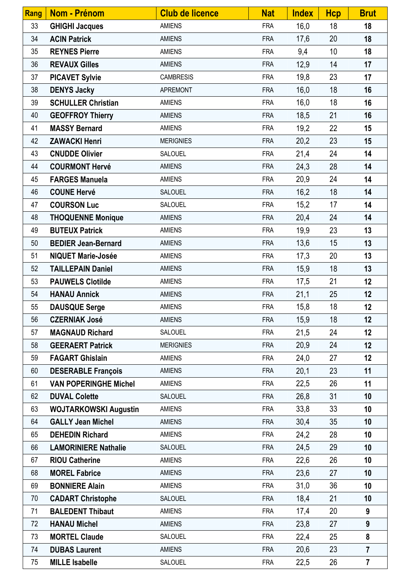| <b>Rang</b> | <b>Nom - Prénom</b>          | <b>Club de licence</b> | <b>Nat</b> | <b>Index</b> | <b>Hcp</b> | <b>Brut</b>             |
|-------------|------------------------------|------------------------|------------|--------------|------------|-------------------------|
| 33          | <b>GHIGHI Jacques</b>        | <b>AMIENS</b>          | <b>FRA</b> | 16,0         | 18         | 18                      |
| 34          | <b>ACIN Patrick</b>          | <b>AMIENS</b>          | <b>FRA</b> | 17,6         | 20         | 18                      |
| 35          | <b>REYNES Pierre</b>         | <b>AMIENS</b>          | <b>FRA</b> | 9,4          | 10         | 18                      |
| 36          | <b>REVAUX Gilles</b>         | <b>AMIENS</b>          | <b>FRA</b> | 12,9         | 14         | 17                      |
| 37          | <b>PICAVET Sylvie</b>        | <b>CAMBRESIS</b>       | <b>FRA</b> | 19,8         | 23         | 17                      |
| 38          | <b>DENYS Jacky</b>           | <b>APREMONT</b>        | <b>FRA</b> | 16,0         | 18         | 16                      |
| 39          | <b>SCHULLER Christian</b>    | <b>AMIENS</b>          | <b>FRA</b> | 16,0         | 18         | 16                      |
| 40          | <b>GEOFFROY Thierry</b>      | <b>AMIENS</b>          | <b>FRA</b> | 18,5         | 21         | 16                      |
| 41          | <b>MASSY Bernard</b>         | <b>AMIENS</b>          | <b>FRA</b> | 19,2         | 22         | 15                      |
| 42          | <b>ZAWACKI Henri</b>         | <b>MERIGNIES</b>       | <b>FRA</b> | 20,2         | 23         | 15                      |
| 43          | <b>CNUDDE Olivier</b>        | SALOUEL                | <b>FRA</b> | 21,4         | 24         | 14                      |
| 44          | <b>COURMONT Hervé</b>        | <b>AMIENS</b>          | <b>FRA</b> | 24,3         | 28         | 14                      |
| 45          | <b>FARGES Manuela</b>        | <b>AMIENS</b>          | <b>FRA</b> | 20,9         | 24         | 14                      |
| 46          | <b>COUNE Hervé</b>           | <b>SALOUEL</b>         | <b>FRA</b> | 16,2         | 18         | 14                      |
| 47          | <b>COURSON Luc</b>           | SALOUEL                | <b>FRA</b> | 15,2         | 17         | 14                      |
| 48          | <b>THOQUENNE Monique</b>     | <b>AMIENS</b>          | <b>FRA</b> | 20,4         | 24         | 14                      |
| 49          | <b>BUTEUX Patrick</b>        | <b>AMIENS</b>          | <b>FRA</b> | 19,9         | 23         | 13                      |
| 50          | <b>BEDIER Jean-Bernard</b>   | <b>AMIENS</b>          | <b>FRA</b> | 13,6         | 15         | 13                      |
| 51          | <b>NIQUET Marie-Josée</b>    | <b>AMIENS</b>          | <b>FRA</b> | 17,3         | 20         | 13                      |
| 52          | <b>TAILLEPAIN Daniel</b>     | <b>AMIENS</b>          | <b>FRA</b> | 15,9         | 18         | 13                      |
| 53          | <b>PAUWELS Clotilde</b>      | <b>AMIENS</b>          | <b>FRA</b> | 17,5         | 21         | 12                      |
| 54          | <b>HANAU Annick</b>          | <b>AMIENS</b>          | <b>FRA</b> | 21,1         | 25         | 12                      |
| 55          | <b>DAUSQUE Serge</b>         | <b>AMIENS</b>          | <b>FRA</b> | 15,8         | 18         | 12                      |
| 56          | <b>CZERNIAK José</b>         | <b>AMIENS</b>          | <b>FRA</b> | 15,9         | 18         | 12                      |
| 57          | <b>MAGNAUD Richard</b>       | SALOUEL                | <b>FRA</b> | 21,5         | 24         | 12                      |
| 58          | <b>GEERAERT Patrick</b>      | <b>MERIGNIES</b>       | <b>FRA</b> | 20,9         | 24         | 12                      |
| 59          | <b>FAGART Ghislain</b>       | <b>AMIENS</b>          | <b>FRA</b> | 24,0         | 27         | 12                      |
| 60          | <b>DESERABLE François</b>    | <b>AMIENS</b>          | <b>FRA</b> | 20,1         | 23         | 11                      |
| 61          | <b>VAN POPERINGHE Michel</b> | <b>AMIENS</b>          | <b>FRA</b> | 22,5         | 26         | 11                      |
| 62          | <b>DUVAL Colette</b>         | SALOUEL                | <b>FRA</b> | 26,8         | 31         | 10                      |
| 63          | <b>WOJTARKOWSKI Augustin</b> | <b>AMIENS</b>          | <b>FRA</b> | 33,8         | 33         | 10                      |
| 64          | <b>GALLY Jean Michel</b>     | <b>AMIENS</b>          | <b>FRA</b> | 30,4         | 35         | 10                      |
| 65          | <b>DEHEDIN Richard</b>       | <b>AMIENS</b>          | <b>FRA</b> | 24,2         | 28         | 10                      |
| 66          | <b>LAMORINIERE Nathalie</b>  | <b>SALOUEL</b>         | <b>FRA</b> | 24,5         | 29         | 10                      |
| 67          | <b>RIOU Catherine</b>        | <b>AMIENS</b>          | <b>FRA</b> | 22,6         | 26         | 10                      |
| 68          | <b>MOREL Fabrice</b>         | <b>AMIENS</b>          | <b>FRA</b> | 23,6         | 27         | 10                      |
| 69          | <b>BONNIERE Alain</b>        | <b>AMIENS</b>          | <b>FRA</b> | 31,0         | 36         | 10                      |
| 70          | <b>CADART Christophe</b>     | SALOUEL                | <b>FRA</b> | 18,4         | 21         | 10                      |
| 71          | <b>BALEDENT Thibaut</b>      | <b>AMIENS</b>          | <b>FRA</b> | 17,4         | 20         | 9                       |
| 72          | <b>HANAU Michel</b>          | <b>AMIENS</b>          | <b>FRA</b> | 23,8         | 27         | 9                       |
| 73          | <b>MORTEL Claude</b>         | SALOUEL                | <b>FRA</b> | 22,4         | 25         | 8                       |
| 74          | <b>DUBAS Laurent</b>         | <b>AMIENS</b>          | <b>FRA</b> | 20,6         | 23         | $\overline{7}$          |
| 75          | <b>MILLE Isabelle</b>        | SALOUEL                | <b>FRA</b> | 22,5         | 26         | $\overline{\mathbf{7}}$ |